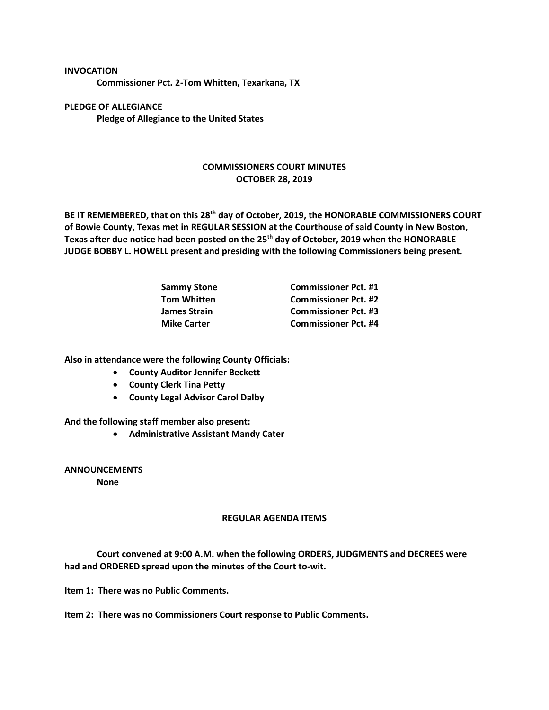**INVOCATION Commissioner Pct. 2-Tom Whitten, Texarkana, TX**

**PLEDGE OF ALLEGIANCE Pledge of Allegiance to the United States**

## **COMMISSIONERS COURT MINUTES OCTOBER 28, 2019**

**BE IT REMEMBERED, that on this 28th day of October, 2019, the HONORABLE COMMISSIONERS COURT of Bowie County, Texas met in REGULAR SESSION at the Courthouse of said County in New Boston, Texas after due notice had been posted on the 25th day of October, 2019 when the HONORABLE JUDGE BOBBY L. HOWELL present and presiding with the following Commissioners being present.**

| <b>Sammy Stone</b> | <b>Commissioner Pct. #1</b> |
|--------------------|-----------------------------|
| Tom Whitten        | <b>Commissioner Pct. #2</b> |
| James Strain       | <b>Commissioner Pct. #3</b> |
| <b>Mike Carter</b> | <b>Commissioner Pct. #4</b> |

**Also in attendance were the following County Officials:**

- **County Auditor Jennifer Beckett**
- **County Clerk Tina Petty**
- **County Legal Advisor Carol Dalby**

**And the following staff member also present:**

• **Administrative Assistant Mandy Cater**

**ANNOUNCEMENTS**

**None**

## **REGULAR AGENDA ITEMS**

**Court convened at 9:00 A.M. when the following ORDERS, JUDGMENTS and DECREES were had and ORDERED spread upon the minutes of the Court to-wit.**

**Item 1: There was no Public Comments.**

**Item 2: There was no Commissioners Court response to Public Comments.**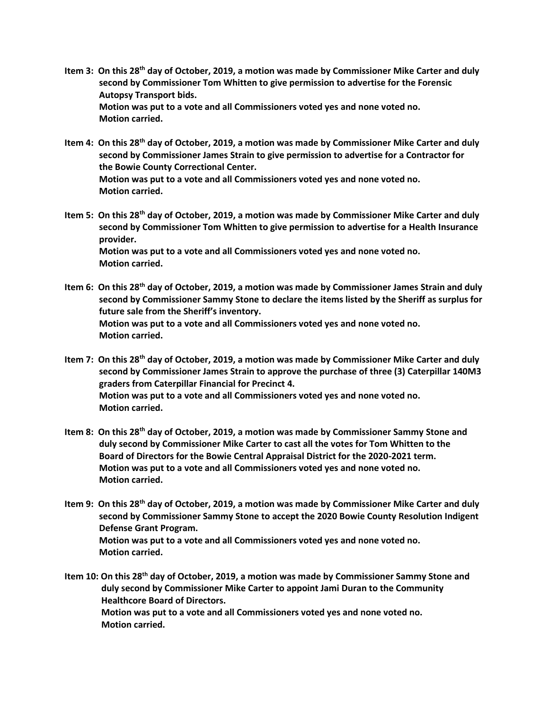- **Item 3: On this 28th day of October, 2019, a motion was made by Commissioner Mike Carter and duly second by Commissioner Tom Whitten to give permission to advertise for the Forensic Autopsy Transport bids. Motion was put to a vote and all Commissioners voted yes and none voted no. Motion carried.**
- **Item 4: On this 28th day of October, 2019, a motion was made by Commissioner Mike Carter and duly second by Commissioner James Strain to give permission to advertise for a Contractor for the Bowie County Correctional Center. Motion was put to a vote and all Commissioners voted yes and none voted no. Motion carried.**
- **Item 5: On this 28th day of October, 2019, a motion was made by Commissioner Mike Carter and duly second by Commissioner Tom Whitten to give permission to advertise for a Health Insurance provider. Motion was put to a vote and all Commissioners voted yes and none voted no. Motion carried.**
- **Item 6: On this 28th day of October, 2019, a motion was made by Commissioner James Strain and duly second by Commissioner Sammy Stone to declare the items listed by the Sheriff as surplus for future sale from the Sheriff's inventory. Motion was put to a vote and all Commissioners voted yes and none voted no. Motion carried.**
- **Item 7: On this 28th day of October, 2019, a motion was made by Commissioner Mike Carter and duly second by Commissioner James Strain to approve the purchase of three (3) Caterpillar 140M3 graders from Caterpillar Financial for Precinct 4. Motion was put to a vote and all Commissioners voted yes and none voted no. Motion carried.**
- **Item 8: On this 28th day of October, 2019, a motion was made by Commissioner Sammy Stone and duly second by Commissioner Mike Carter to cast all the votes for Tom Whitten to the Board of Directors for the Bowie Central Appraisal District for the 2020-2021 term. Motion was put to a vote and all Commissioners voted yes and none voted no. Motion carried.**
- **Item 9: On this 28th day of October, 2019, a motion was made by Commissioner Mike Carter and duly second by Commissioner Sammy Stone to accept the 2020 Bowie County Resolution Indigent Defense Grant Program. Motion was put to a vote and all Commissioners voted yes and none voted no. Motion carried.**
- **Item 10: On this 28th day of October, 2019, a motion was made by Commissioner Sammy Stone and duly second by Commissioner Mike Carter to appoint Jami Duran to the Community Healthcore Board of Directors. Motion was put to a vote and all Commissioners voted yes and none voted no. Motion carried.**